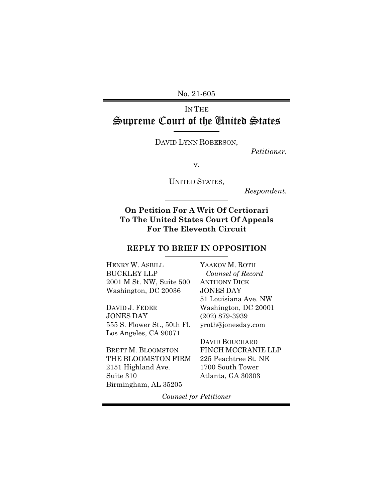No. 21-605

# IN THE Supreme Court of the United States

DAVID LYNN ROBERSON,

*Petitioner*,

v.

UNITED STATES,

*Respondent.*

**On Petition For A Writ Of Certiorari To The United States Court Of Appeals For The Eleventh Circuit**

#### **REPLY TO BRIEF IN OPPOSITION**

HENRY W. ASBILL BUCKLEY LLP 2001 M St. NW, Suite 500 Washington, DC 20036

DAVID J. FEDER JONES DAY 555 S. Flower St., 50th Fl. Los Angeles, CA 90071

BRETT M. BLOOMSTON THE BLOOMSTON FIRM 2151 Highland Ave. Suite 310 Birmingham, AL 35205

YAAKOV M. ROTH *Counsel of Record*  ANTHONY DICK JONES DAY 51 Louisiana Ave. NW Washington, DC 20001 (202) 879-3939 yroth@jonesday.com

DAVID BOUCHARD FINCH MCCRANIE LLP 225 Peachtree St. NE 1700 South Tower Atlanta, GA 30303

*Counsel for Petitioner*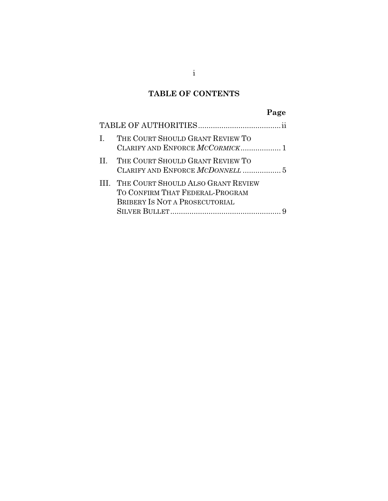## **TABLE OF CONTENTS**

# **Page**

| L | THE COURT SHOULD GRANT REVIEW TO<br>CLARIFY AND ENFORCE MCCORMICK 1                                          |
|---|--------------------------------------------------------------------------------------------------------------|
|   | II. THE COURT SHOULD GRANT REVIEW TO                                                                         |
|   | III. THE COURT SHOULD ALSO GRANT REVIEW<br>TO CONFIRM THAT FEDERAL-PROGRAM<br>BRIBERY IS NOT A PROSECUTORIAL |
|   |                                                                                                              |

i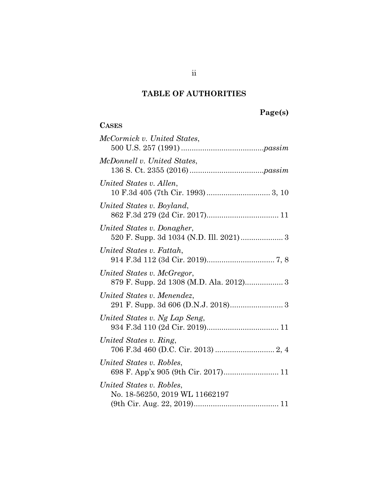## **TABLE OF AUTHORITIES**

# **Page(s)**

### **CASES**

| McCormick v. United States,                                           |
|-----------------------------------------------------------------------|
| McDonnell v. United States,                                           |
| United States v. Allen,                                               |
| United States v. Boyland,                                             |
| United States v. Donagher,<br>520 F. Supp. 3d 1034 (N.D. Ill. 2021) 3 |
| United States v. Fattah,                                              |
| United States v. McGregor,<br>879 F. Supp. 2d 1308 (M.D. Ala. 2012) 3 |
| United States v. Menendez,                                            |
| United States v. Ng Lap Seng,                                         |
| United States v. Ring,                                                |
| United States v. Robles,<br>698 F. App'x 905 (9th Cir. 2017) 11       |
| United States v. Robles,<br>No. 18-56250, 2019 WL 11662197            |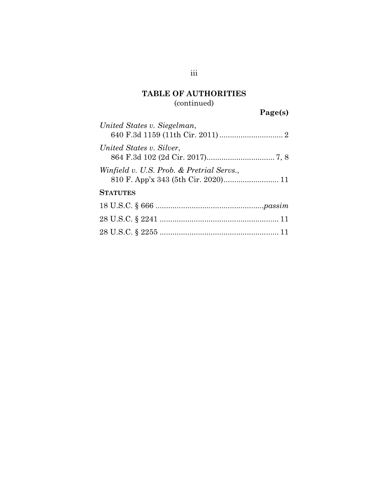### **TABLE OF AUTHORITIES**  (continued)

# **Page(s)**

| United States v. Siegelman,                                                      |
|----------------------------------------------------------------------------------|
| United States v. Silver,                                                         |
| Winfield v. U.S. Prob. & Pretrial Servs.,<br>810 F. App'x 343 (5th Cir. 2020) 11 |
| <b>STATUTES</b>                                                                  |
|                                                                                  |
|                                                                                  |
|                                                                                  |

iii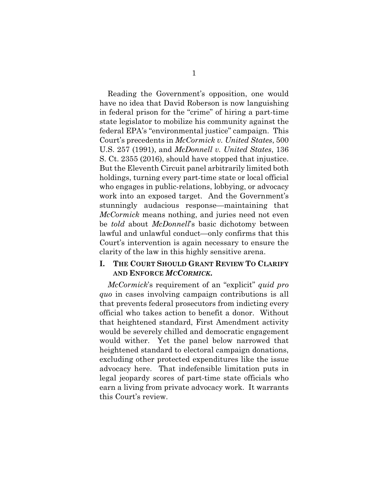Reading the Government's opposition, one would have no idea that David Roberson is now languishing in federal prison for the "crime" of hiring a part-time state legislator to mobilize his community against the federal EPA's "environmental justice" campaign. This Court's precedents in *McCormick v. United States*, 500 U.S. 257 (1991), and *McDonnell v. United States*, 136 S. Ct. 2355 (2016), should have stopped that injustice. But the Eleventh Circuit panel arbitrarily limited both holdings, turning every part-time state or local official who engages in public-relations, lobbying, or advocacy work into an exposed target. And the Government's stunningly audacious response—maintaining that *McCormick* means nothing, and juries need not even be *told* about *McDonnell*'s basic dichotomy between lawful and unlawful conduct—only confirms that this Court's intervention is again necessary to ensure the clarity of the law in this highly sensitive arena.

### **I. THE COURT SHOULD GRANT REVIEW TO CLARIFY AND ENFORCE** *MCCORMICK***.**

*McCormick*'s requirement of an "explicit" *quid pro quo* in cases involving campaign contributions is all that prevents federal prosecutors from indicting every official who takes action to benefit a donor. Without that heightened standard, First Amendment activity would be severely chilled and democratic engagement would wither. Yet the panel below narrowed that heightened standard to electoral campaign donations, excluding other protected expenditures like the issue advocacy here. That indefensible limitation puts in legal jeopardy scores of part-time state officials who earn a living from private advocacy work. It warrants this Court's review.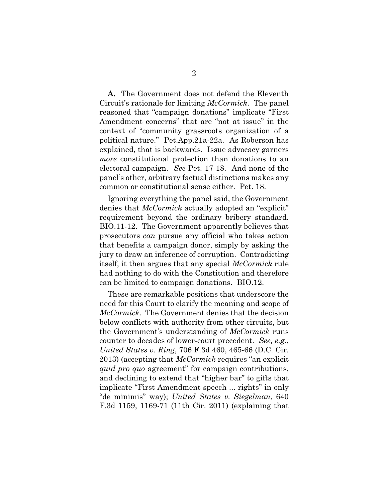**A.** The Government does not defend the Eleventh Circuit's rationale for limiting *McCormick*. The panel reasoned that "campaign donations" implicate "First Amendment concerns" that are "not at issue" in the context of "community grassroots organization of a political nature." Pet.App.21a-22a. As Roberson has explained, that is backwards. Issue advocacy garners *more* constitutional protection than donations to an electoral campaign. *See* Pet. 17-18. And none of the panel's other, arbitrary factual distinctions makes any common or constitutional sense either. Pet. 18.

Ignoring everything the panel said, the Government denies that *McCormick* actually adopted an "explicit" requirement beyond the ordinary bribery standard. BIO.11-12. The Government apparently believes that prosecutors *can* pursue any official who takes action that benefits a campaign donor, simply by asking the jury to draw an inference of corruption. Contradicting itself, it then argues that any special *McCormick* rule had nothing to do with the Constitution and therefore can be limited to campaign donations. BIO.12.

These are remarkable positions that underscore the need for this Court to clarify the meaning and scope of *McCormick*. The Government denies that the decision below conflicts with authority from other circuits, but the Government's understanding of *McCormick* runs counter to decades of lower-court precedent. *See, e.g.*, *United States v. Ring*, 706 F.3d 460, 465-66 (D.C. Cir. 2013) (accepting that *McCormick* requires "an explicit *quid pro quo* agreement" for campaign contributions, and declining to extend that "higher bar" to gifts that implicate "First Amendment speech ... rights" in only "de minimis" way); *United States v. Siegelman*, 640 F.3d 1159, 1169-71 (11th Cir. 2011) (explaining that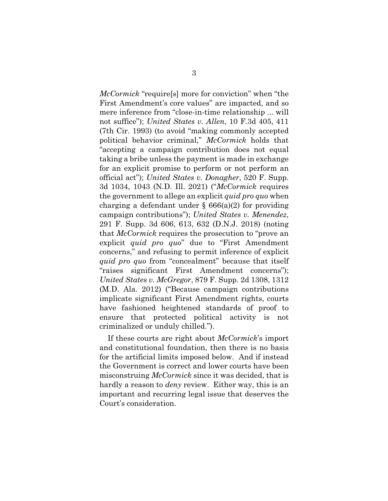*McCormick* "require[s] more for conviction" when "the First Amendment's core values" are impacted, and so mere inference from "close-in-time relationship ... will not suffice"); *United States v. Allen*, 10 F.3d 405, 411 (7th Cir. 1993) (to avoid "making commonly accepted political behavior criminal," *McCormick* holds that "accepting a campaign contribution does not equal taking a bribe unless the payment is made in exchange for an explicit promise to perform or not perform an official act"); *United States v. Donagher*, 520 F. Supp. 3d 1034, 1043 (N.D. Ill. 2021) ("*McCormick* requires the government to allege an explicit *quid pro quo* when charging a defendant under  $\S 666(a)(2)$  for providing campaign contributions"); *United States v. Menendez*, 291 F. Supp. 3d 606, 613, 632 (D.N.J. 2018) (noting that *McCormick* requires the prosecution to "prove an explicit *quid pro quo*" due to "First Amendment concerns," and refusing to permit inference of explicit *quid pro quo* from "concealment" because that itself "raises significant First Amendment concerns"); *United States v. McGregor*, 879 F. Supp. 2d 1308, 1312 (M.D. Ala. 2012) ("Because campaign contributions implicate significant First Amendment rights, courts have fashioned heightened standards of proof to ensure that protected political activity is not criminalized or unduly chilled.").

If these courts are right about *McCormick*'s import and constitutional foundation, then there is no basis for the artificial limits imposed below. And if instead the Government is correct and lower courts have been misconstruing *McCormick* since it was decided, that is hardly a reason to *deny* review. Either way, this is an important and recurring legal issue that deserves the Court's consideration.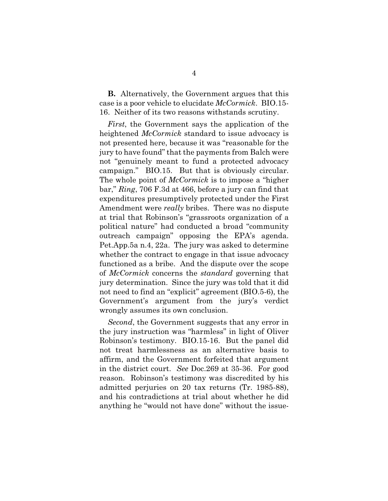**B.** Alternatively, the Government argues that this case is a poor vehicle to elucidate *McCormick*. BIO.15- 16. Neither of its two reasons withstands scrutiny.

*First*, the Government says the application of the heightened *McCormick* standard to issue advocacy is not presented here, because it was "reasonable for the jury to have found" that the payments from Balch were not "genuinely meant to fund a protected advocacy campaign." BIO.15. But that is obviously circular. The whole point of *McCormick* is to impose a "higher bar," *Ring*, 706 F.3d at 466, before a jury can find that expenditures presumptively protected under the First Amendment were *really* bribes. There was no dispute at trial that Robinson's "grassroots organization of a political nature" had conducted a broad "community outreach campaign" opposing the EPA's agenda. Pet.App.5a n.4, 22a. The jury was asked to determine whether the contract to engage in that issue advocacy functioned as a bribe. And the dispute over the scope of *McCormick* concerns the *standard* governing that jury determination. Since the jury was told that it did not need to find an "explicit" agreement (BIO.5-6), the Government's argument from the jury's verdict wrongly assumes its own conclusion.

*Second*, the Government suggests that any error in the jury instruction was "harmless" in light of Oliver Robinson's testimony. BIO.15-16. But the panel did not treat harmlessness as an alternative basis to affirm, and the Government forfeited that argument in the district court. *See* Doc.269 at 35-36. For good reason. Robinson's testimony was discredited by his admitted perjuries on 20 tax returns (Tr. 1985-88), and his contradictions at trial about whether he did anything he "would not have done" without the issue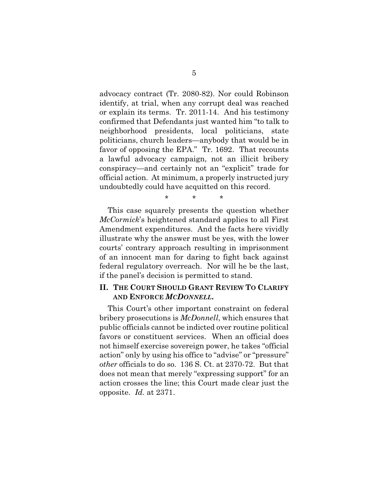advocacy contract (Tr. 2080-82). Nor could Robinson identify, at trial, when any corrupt deal was reached or explain its terms. Tr. 2011-14. And his testimony confirmed that Defendants just wanted him "to talk to neighborhood presidents, local politicians, state politicians, church leaders—anybody that would be in favor of opposing the EPA." Tr. 1692. That recounts a lawful advocacy campaign, not an illicit bribery conspiracy—and certainly not an "explicit" trade for official action. At minimum, a properly instructed jury undoubtedly could have acquitted on this record.

\* \* \*

This case squarely presents the question whether *McCormick*'s heightened standard applies to all First Amendment expenditures. And the facts here vividly illustrate why the answer must be yes, with the lower courts' contrary approach resulting in imprisonment of an innocent man for daring to fight back against federal regulatory overreach. Nor will he be the last, if the panel's decision is permitted to stand.

### **II. THE COURT SHOULD GRANT REVIEW TO CLARIFY AND ENFORCE** *MCDONNELL***.**

This Court's other important constraint on federal bribery prosecutions is *McDonnell*, which ensures that public officials cannot be indicted over routine political favors or constituent services. When an official does not himself exercise sovereign power, he takes "official action" only by using his office to "advise" or "pressure" *other* officials to do so. 136 S. Ct. at 2370-72. But that does not mean that merely "expressing support" for an action crosses the line; this Court made clear just the opposite. *Id.* at 2371.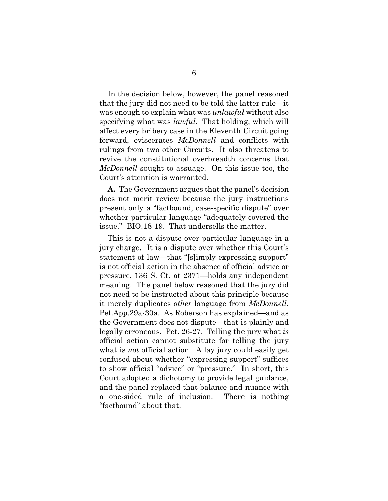In the decision below, however, the panel reasoned that the jury did not need to be told the latter rule—it was enough to explain what was *unlawful* without also specifying what was *lawful*. That holding, which will affect every bribery case in the Eleventh Circuit going forward, eviscerates *McDonnell* and conflicts with rulings from two other Circuits. It also threatens to revive the constitutional overbreadth concerns that *McDonnell* sought to assuage. On this issue too, the Court's attention is warranted.

**A.** The Government argues that the panel's decision does not merit review because the jury instructions present only a "factbound, case-specific dispute" over whether particular language "adequately covered the issue." BIO.18-19. That undersells the matter.

This is not a dispute over particular language in a jury charge. It is a dispute over whether this Court's statement of law—that "[s]imply expressing support" is not official action in the absence of official advice or pressure, 136 S. Ct. at 2371—holds any independent meaning. The panel below reasoned that the jury did not need to be instructed about this principle because it merely duplicates *other* language from *McDonnell*. Pet.App.29a-30a. As Roberson has explained—and as the Government does not dispute—that is plainly and legally erroneous. Pet. 26-27. Telling the jury what *is* official action cannot substitute for telling the jury what is *not* official action. A lay jury could easily get confused about whether "expressing support" suffices to show official "advice" or "pressure." In short, this Court adopted a dichotomy to provide legal guidance, and the panel replaced that balance and nuance with a one-sided rule of inclusion. There is nothing "factbound" about that.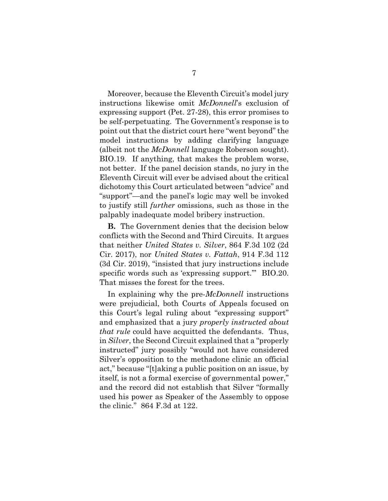Moreover, because the Eleventh Circuit's model jury instructions likewise omit *McDonnell*'s exclusion of expressing support (Pet. 27-28), this error promises to be self-perpetuating. The Government's response is to point out that the district court here "went beyond" the model instructions by adding clarifying language (albeit not the *McDonnell* language Roberson sought). BIO.19. If anything, that makes the problem worse, not better. If the panel decision stands, no jury in the Eleventh Circuit will ever be advised about the critical dichotomy this Court articulated between "advice" and "support"—and the panel's logic may well be invoked to justify still *further* omissions, such as those in the palpably inadequate model bribery instruction.

**B.** The Government denies that the decision below conflicts with the Second and Third Circuits. It argues that neither *United States v. Silver*, 864 F.3d 102 (2d Cir. 2017), nor *United States v. Fattah*, 914 F.3d 112 (3d Cir. 2019), "insisted that jury instructions include specific words such as 'expressing support." BIO.20. That misses the forest for the trees.

In explaining why the pre-*McDonnell* instructions were prejudicial, both Courts of Appeals focused on this Court's legal ruling about "expressing support" and emphasized that a jury *properly instructed about that rule* could have acquitted the defendants. Thus, in *Silver*, the Second Circuit explained that a "properly instructed" jury possibly "would not have considered Silver's opposition to the methadone clinic an official act," because "[t]aking a public position on an issue, by itself, is not a formal exercise of governmental power," and the record did not establish that Silver "formally used his power as Speaker of the Assembly to oppose the clinic." 864 F.3d at 122.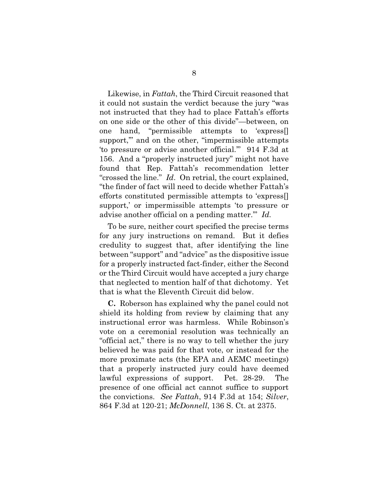Likewise, in *Fattah*, the Third Circuit reasoned that it could not sustain the verdict because the jury "was not instructed that they had to place Fattah's efforts on one side or the other of this divide"—between, on one hand, "permissible attempts to 'express[] support," and on the other, "impermissible attempts 'to pressure or advise another official.'" 914 F.3d at 156. And a "properly instructed jury" might not have found that Rep. Fattah's recommendation letter "crossed the line." *Id*. On retrial, the court explained, "the finder of fact will need to decide whether Fattah's efforts constituted permissible attempts to 'express[] support,' or impermissible attempts 'to pressure or advise another official on a pending matter.'" *Id.* 

To be sure, neither court specified the precise terms for any jury instructions on remand. But it defies credulity to suggest that, after identifying the line between "support" and "advice" as the dispositive issue for a properly instructed fact-finder, either the Second or the Third Circuit would have accepted a jury charge that neglected to mention half of that dichotomy. Yet that is what the Eleventh Circuit did below.

**C.** Roberson has explained why the panel could not shield its holding from review by claiming that any instructional error was harmless. While Robinson's vote on a ceremonial resolution was technically an "official act," there is no way to tell whether the jury believed he was paid for that vote, or instead for the more proximate acts (the EPA and AEMC meetings) that a properly instructed jury could have deemed lawful expressions of support. Pet. 28-29. The presence of one official act cannot suffice to support the convictions. *See Fattah*, 914 F.3d at 154; *Silver*, 864 F.3d at 120-21; *McDonnell*, 136 S. Ct. at 2375.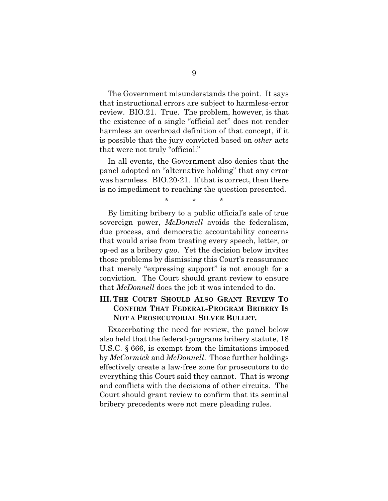The Government misunderstands the point. It says that instructional errors are subject to harmless-error review. BIO.21. True. The problem, however, is that the existence of a single "official act" does not render harmless an overbroad definition of that concept, if it is possible that the jury convicted based on *other* acts that were not truly "official."

In all events, the Government also denies that the panel adopted an "alternative holding" that any error was harmless. BIO.20-21. If that is correct, then there is no impediment to reaching the question presented.

\* \* \*

By limiting bribery to a public official's sale of true sovereign power, *McDonnell* avoids the federalism, due process, and democratic accountability concerns that would arise from treating every speech, letter, or op-ed as a bribery *quo*. Yet the decision below invites those problems by dismissing this Court's reassurance that merely "expressing support" is not enough for a conviction. The Court should grant review to ensure that *McDonnell* does the job it was intended to do.

### **III. THE COURT SHOULD ALSO GRANT REVIEW TO CONFIRM THAT FEDERAL-PROGRAM BRIBERY IS NOT A PROSECUTORIAL SILVER BULLET.**

Exacerbating the need for review, the panel below also held that the federal-programs bribery statute, 18 U.S.C. § 666, is exempt from the limitations imposed by *McCormick* and *McDonnell*. Those further holdings effectively create a law-free zone for prosecutors to do everything this Court said they cannot. That is wrong and conflicts with the decisions of other circuits. The Court should grant review to confirm that its seminal bribery precedents were not mere pleading rules.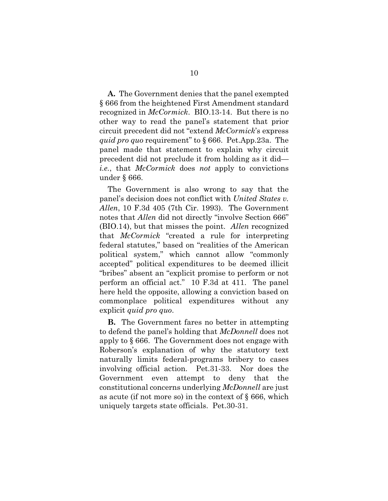**A.** The Government denies that the panel exempted § 666 from the heightened First Amendment standard recognized in *McCormick*. BIO.13-14. But there is no other way to read the panel's statement that prior circuit precedent did not "extend *McCormick*'s express *quid pro quo* requirement" to § 666. Pet.App.23a. The panel made that statement to explain why circuit precedent did not preclude it from holding as it did *i.e.*, that *McCormick* does *not* apply to convictions under § 666.

The Government is also wrong to say that the panel's decision does not conflict with *United States v. Allen*, 10 F.3d 405 (7th Cir. 1993). The Government notes that *Allen* did not directly "involve Section 666" (BIO.14), but that misses the point. *Allen* recognized that *McCormick* "created a rule for interpreting federal statutes," based on "realities of the American political system," which cannot allow "commonly accepted" political expenditures to be deemed illicit "bribes" absent an "explicit promise to perform or not perform an official act." 10 F.3d at 411. The panel here held the opposite, allowing a conviction based on commonplace political expenditures without any explicit *quid pro quo*.

**B.** The Government fares no better in attempting to defend the panel's holding that *McDonnell* does not apply to § 666. The Government does not engage with Roberson's explanation of why the statutory text naturally limits federal-programs bribery to cases involving official action. Pet.31-33. Nor does the Government even attempt to deny that the constitutional concerns underlying *McDonnell* are just as acute (if not more so) in the context of § 666, which uniquely targets state officials. Pet.30-31.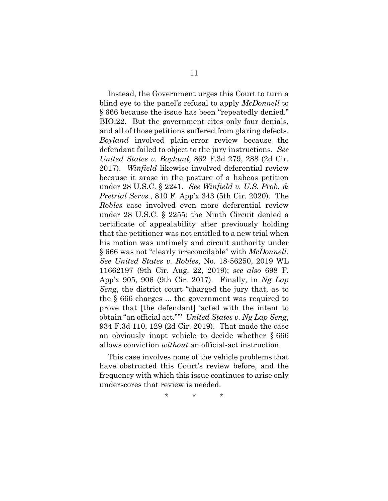Instead, the Government urges this Court to turn a blind eye to the panel's refusal to apply *McDonnell* to § 666 because the issue has been "repeatedly denied." BIO.22. But the government cites only four denials, and all of those petitions suffered from glaring defects. *Boyland* involved plain-error review because the defendant failed to object to the jury instructions. *See United States v. Boyland*, 862 F.3d 279, 288 (2d Cir. 2017). *Winfield* likewise involved deferential review because it arose in the posture of a habeas petition under 28 U.S.C. § 2241. *See Winfield v. U.S. Prob. & Pretrial Servs.*, 810 F. App'x 343 (5th Cir. 2020). The *Robles* case involved even more deferential review under 28 U.S.C. § 2255; the Ninth Circuit denied a certificate of appealability after previously holding that the petitioner was not entitled to a new trial when his motion was untimely and circuit authority under § 666 was not "clearly irreconcilable" with *McDonnell*. *See United States v. Robles*, No. 18-56250, 2019 WL 11662197 (9th Cir. Aug. 22, 2019); *see also* 698 F. App'x 905, 906 (9th Cir. 2017). Finally, in *Ng Lap Seng*, the district court "charged the jury that, as to the § 666 charges ... the government was required to prove that [the defendant] 'acted with the intent to obtain "an official act."'" *United States v. Ng Lap Seng*, 934 F.3d 110, 129 (2d Cir. 2019). That made the case an obviously inapt vehicle to decide whether § 666 allows conviction *without* an official-act instruction.

This case involves none of the vehicle problems that have obstructed this Court's review before, and the frequency with which this issue continues to arise only underscores that review is needed.

\* \* \*